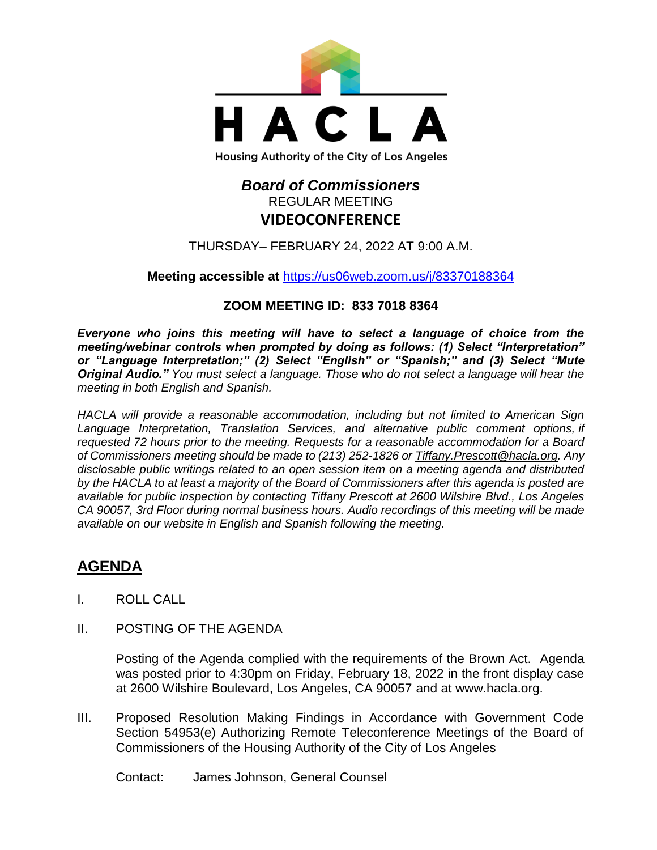

## *Board of Commissioners* REGULAR MEETING **VIDEOCONFERENCE**

THURSDAY– FEBRUARY 24, 2022 AT 9:00 A.M.

**Meeting accessible at** <https://us06web.zoom.us/j/83370188364>

## **ZOOM MEETING ID: 833 7018 8364**

*Everyone who joins this meeting will have to select a language of choice from the meeting/webinar controls when prompted by doing as follows: (1) Select "Interpretation" or "Language Interpretation;" (2) Select "English" or "Spanish;" and (3) Select "Mute Original Audio." You must select a language. Those who do not select a language will hear the meeting in both English and Spanish.*

*HACLA will provide a reasonable accommodation, including but not limited to American Sign Language Interpretation, Translation Services, and alternative public comment options, if requested 72 hours prior to the meeting. Requests for a reasonable accommodation for a Board of Commissioners meeting should be made to (213) 252-1826 or Tiffany.Prescott@hacla.org. Any disclosable public writings related to an open session item on a meeting agenda and distributed by the HACLA to at least a majority of the Board of Commissioners after this agenda is posted are available for public inspection by contacting Tiffany Prescott at 2600 Wilshire Blvd., Los Angeles CA 90057, 3rd Floor during normal business hours. Audio recordings of this meeting will be made available on our website in English and Spanish following the meeting.*

# **AGENDA**

- I. ROLL CALL
- II. POSTING OF THE AGENDA

Posting of the Agenda complied with the requirements of the Brown Act. Agenda was posted prior to 4:30pm on Friday, February 18, 2022 in the front display case at 2600 Wilshire Boulevard, Los Angeles, CA 90057 and at [www.hacla.org.](http://www.hacla.org/)

III. Proposed Resolution Making Findings in Accordance with Government Code Section 54953(e) Authorizing Remote Teleconference Meetings of the Board of Commissioners of the Housing Authority of the City of Los Angeles

Contact: James Johnson, General Counsel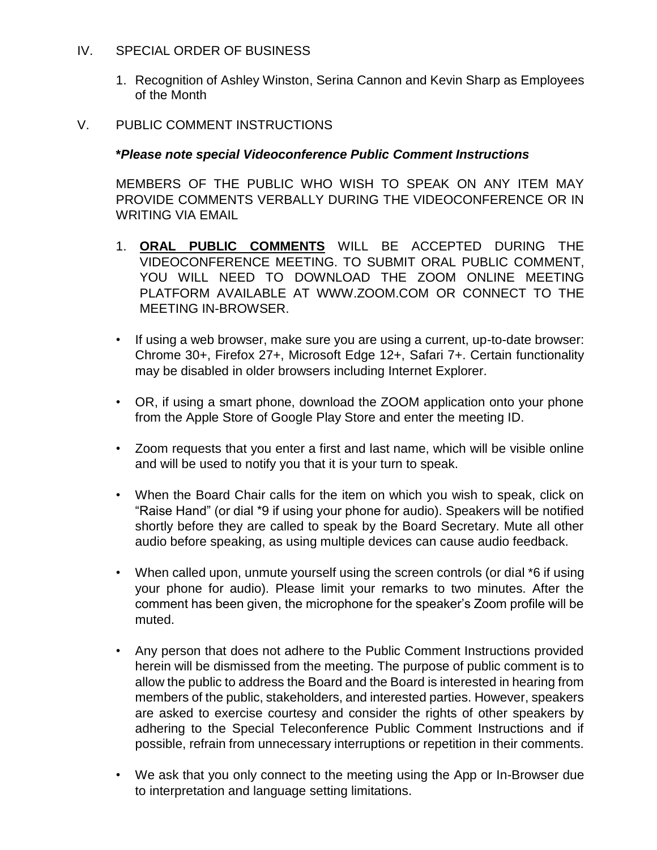#### IV. SPECIAL ORDER OF BUSINESS

1. Recognition of Ashley Winston, Serina Cannon and Kevin Sharp as Employees of the Month

#### V. PUBLIC COMMENT INSTRUCTIONS

#### **\****Please note special Videoconference Public Comment Instructions*

MEMBERS OF THE PUBLIC WHO WISH TO SPEAK ON ANY ITEM MAY PROVIDE COMMENTS VERBALLY DURING THE VIDEOCONFERENCE OR IN WRITING VIA EMAIL

- 1. **ORAL PUBLIC COMMENTS** WILL BE ACCEPTED DURING THE VIDEOCONFERENCE MEETING. TO SUBMIT ORAL PUBLIC COMMENT, YOU WILL NEED TO DOWNLOAD THE ZOOM ONLINE MEETING PLATFORM AVAILABLE AT WWW.ZOOM.COM OR CONNECT TO THE MEETING IN-BROWSER.
- If using a web browser, make sure you are using a current, up-to-date browser: Chrome 30+, Firefox 27+, Microsoft Edge 12+, Safari 7+. Certain functionality may be disabled in older browsers including Internet Explorer.
- OR, if using a smart phone, download the ZOOM application onto your phone from the Apple Store of Google Play Store and enter the meeting ID.
- Zoom requests that you enter a first and last name, which will be visible online and will be used to notify you that it is your turn to speak.
- When the Board Chair calls for the item on which you wish to speak, click on "Raise Hand" (or dial \*9 if using your phone for audio). Speakers will be notified shortly before they are called to speak by the Board Secretary. Mute all other audio before speaking, as using multiple devices can cause audio feedback.
- When called upon, unmute yourself using the screen controls (or dial \*6 if using your phone for audio). Please limit your remarks to two minutes. After the comment has been given, the microphone for the speaker's Zoom profile will be muted.
- Any person that does not adhere to the Public Comment Instructions provided herein will be dismissed from the meeting. The purpose of public comment is to allow the public to address the Board and the Board is interested in hearing from members of the public, stakeholders, and interested parties. However, speakers are asked to exercise courtesy and consider the rights of other speakers by adhering to the Special Teleconference Public Comment Instructions and if possible, refrain from unnecessary interruptions or repetition in their comments.
- We ask that you only connect to the meeting using the App or In-Browser due to interpretation and language setting limitations.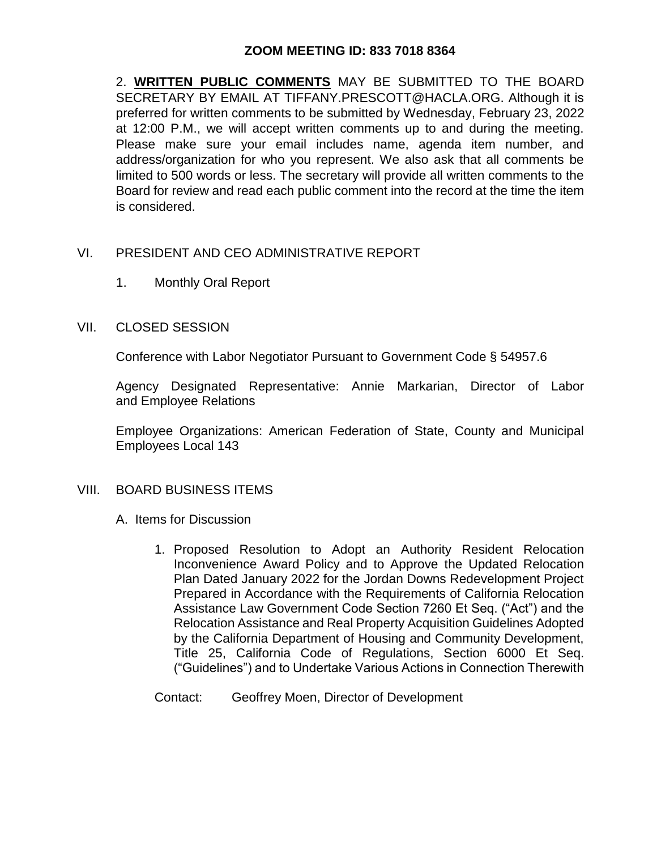#### **ZOOM MEETING ID: 833 7018 8364**

2. **WRITTEN PUBLIC COMMENTS** MAY BE SUBMITTED TO THE BOARD SECRETARY BY EMAIL AT TIFFANY.PRESCOTT@HACLA.ORG. Although it is preferred for written comments to be submitted by Wednesday, February 23, 2022 at 12:00 P.M., we will accept written comments up to and during the meeting. Please make sure your email includes name, agenda item number, and address/organization for who you represent. We also ask that all comments be limited to 500 words or less. The secretary will provide all written comments to the Board for review and read each public comment into the record at the time the item is considered.

#### VI. PRESIDENT AND CEO ADMINISTRATIVE REPORT

1. Monthly Oral Report

#### VII. CLOSED SESSION

Conference with Labor Negotiator Pursuant to Government Code § 54957.6

Agency Designated Representative: Annie Markarian, Director of Labor and Employee Relations

Employee Organizations: American Federation of State, County and Municipal Employees Local 143

#### VIII. BOARD BUSINESS ITEMS

- A. Items for Discussion
	- 1. Proposed Resolution to Adopt an Authority Resident Relocation Inconvenience Award Policy and to Approve the Updated Relocation Plan Dated January 2022 for the Jordan Downs Redevelopment Project Prepared in Accordance with the Requirements of California Relocation Assistance Law Government Code Section 7260 Et Seq. ("Act") and the Relocation Assistance and Real Property Acquisition Guidelines Adopted by the California Department of Housing and Community Development, Title 25, California Code of Regulations, Section 6000 Et Seq. ("Guidelines") and to Undertake Various Actions in Connection Therewith

Contact: Geoffrey Moen, Director of Development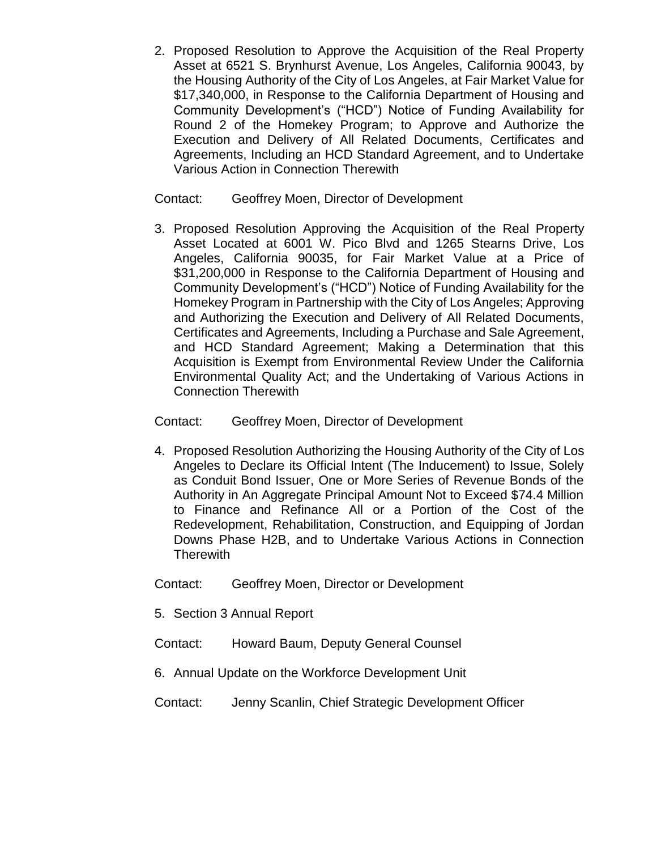2. Proposed Resolution to Approve the Acquisition of the Real Property Asset at 6521 S. Brynhurst Avenue, Los Angeles, California 90043, by the Housing Authority of the City of Los Angeles, at Fair Market Value for \$17,340,000, in Response to the California Department of Housing and Community Development's ("HCD") Notice of Funding Availability for Round 2 of the Homekey Program; to Approve and Authorize the Execution and Delivery of All Related Documents, Certificates and Agreements, Including an HCD Standard Agreement, and to Undertake Various Action in Connection Therewith

#### Contact: Geoffrey Moen, Director of Development

3. Proposed Resolution Approving the Acquisition of the Real Property Asset Located at 6001 W. Pico Blvd and 1265 Stearns Drive, Los Angeles, California 90035, for Fair Market Value at a Price of \$31,200,000 in Response to the California Department of Housing and Community Development's ("HCD") Notice of Funding Availability for the Homekey Program in Partnership with the City of Los Angeles; Approving and Authorizing the Execution and Delivery of All Related Documents, Certificates and Agreements, Including a Purchase and Sale Agreement, and HCD Standard Agreement; Making a Determination that this Acquisition is Exempt from Environmental Review Under the California Environmental Quality Act; and the Undertaking of Various Actions in Connection Therewith

#### Contact: Geoffrey Moen, Director of Development

- 4. Proposed Resolution Authorizing the Housing Authority of the City of Los Angeles to Declare its Official Intent (The Inducement) to Issue, Solely as Conduit Bond Issuer, One or More Series of Revenue Bonds of the Authority in An Aggregate Principal Amount Not to Exceed \$74.4 Million to Finance and Refinance All or a Portion of the Cost of the Redevelopment, Rehabilitation, Construction, and Equipping of Jordan Downs Phase H2B, and to Undertake Various Actions in Connection **Therewith**
- Contact: Geoffrey Moen, Director or Development
- 5. Section 3 Annual Report
- Contact: Howard Baum, Deputy General Counsel
- 6. Annual Update on the Workforce Development Unit
- Contact: Jenny Scanlin, Chief Strategic Development Officer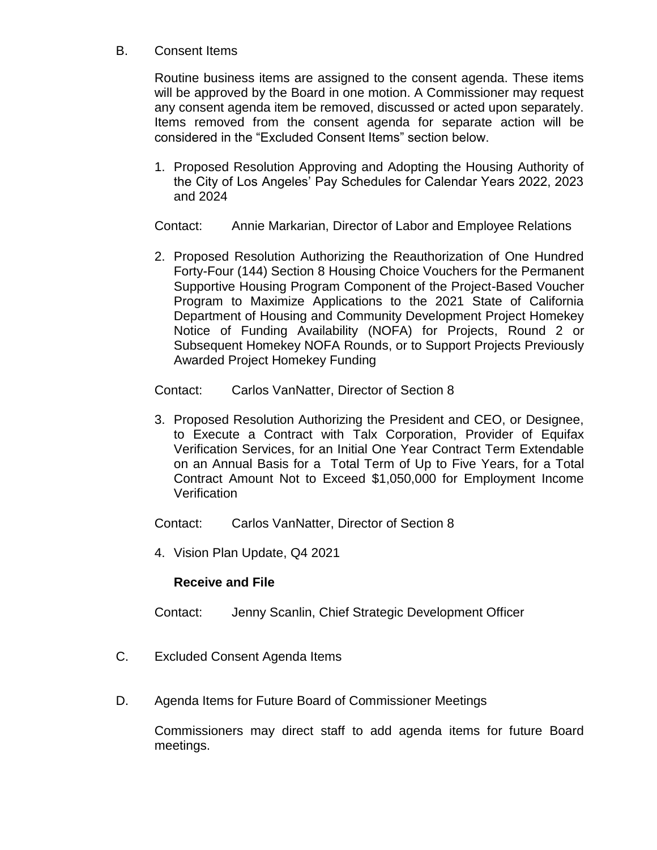#### B. Consent Items

Routine business items are assigned to the consent agenda. These items will be approved by the Board in one motion. A Commissioner may request any consent agenda item be removed, discussed or acted upon separately. Items removed from the consent agenda for separate action will be considered in the "Excluded Consent Items" section below.

1. Proposed Resolution Approving and Adopting the Housing Authority of the City of Los Angeles' Pay Schedules for Calendar Years 2022, 2023 and 2024

Contact: Annie Markarian, Director of Labor and Employee Relations

2. Proposed Resolution Authorizing the Reauthorization of One Hundred Forty-Four (144) Section 8 Housing Choice Vouchers for the Permanent Supportive Housing Program Component of the Project-Based Voucher Program to Maximize Applications to the 2021 State of California Department of Housing and Community Development Project Homekey Notice of Funding Availability (NOFA) for Projects, Round 2 or Subsequent Homekey NOFA Rounds, or to Support Projects Previously Awarded Project Homekey Funding

Contact: Carlos VanNatter, Director of Section 8

3. Proposed Resolution Authorizing the President and CEO, or Designee, to Execute a Contract with Talx Corporation, Provider of Equifax Verification Services, for an Initial One Year Contract Term Extendable on an Annual Basis for a Total Term of Up to Five Years, for a Total Contract Amount Not to Exceed \$1,050,000 for Employment Income **Verification** 

Contact: Carlos VanNatter, Director of Section 8

4. Vision Plan Update, Q4 2021

### **Receive and File**

Contact: Jenny Scanlin, Chief Strategic Development Officer

- C. Excluded Consent Agenda Items
- D. Agenda Items for Future Board of Commissioner Meetings

Commissioners may direct staff to add agenda items for future Board meetings.